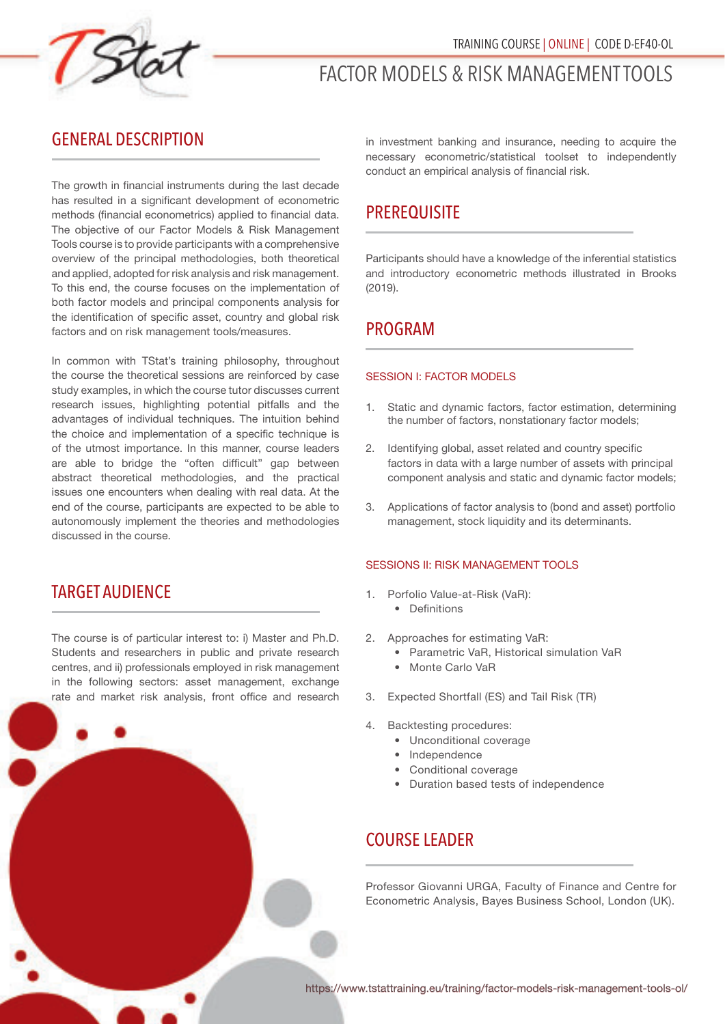

# FACTOR MODELS & RISK MANAGEMENT TOOLS

### GENERAL DESCRIPTION

The growth in financial instruments during the last decade has resulted in a significant development of econometric methods (financial econometrics) applied to financial data. The objective of our Factor Models & Risk Management Tools course is to provide participants with a comprehensive overview of the principal methodologies, both theoretical and applied, adopted for risk analysis and risk management. To this end, the course focuses on the implementation of both factor models and principal components analysis for the identification of specific asset, country and global risk factors and on risk management tools/measures.

In common with TStat's training philosophy, throughout the course the theoretical sessions are reinforced by case study examples, in which the course tutor discusses current research issues, highlighting potential pitfalls and the advantages of individual techniques. The intuition behind the choice and implementation of a specific technique is of the utmost importance. In this manner, course leaders are able to bridge the "often difficult" gap between abstract theoretical methodologies, and the practical issues one encounters when dealing with real data. At the end of the course, participants are expected to be able to autonomously implement the theories and methodologies discussed in the course.

### TARGET AUDIENCE

The course is of particular interest to: i) Master and Ph.D. Students and researchers in public and private research centres, and ii) professionals employed in risk management in the following sectors: asset management, exchange rate and market risk analysis, front office and research in investment banking and insurance, needing to acquire the necessary econometric/statistical toolset to independently conduct an empirical analysis of financial risk.

# **PREREQUISITE**

Participants should have a knowledge of the inferential statistics and introductory econometric methods illustrated in Brooks (2019).

# PROGRAM

#### SESSION I: FACTOR MODELS

- 1. Static and dynamic factors, factor estimation, determining the number of factors, nonstationary factor models;
- 2. Identifying global, asset related and country specific factors in data with a large number of assets with principal component analysis and static and dynamic factor models;
- 3. Applications of factor analysis to (bond and asset) portfolio management, stock liquidity and its determinants.

#### SESSIONS II: RISK MANAGEMENT TOOLS

- 1. Porfolio Value-at-Risk (VaR):
	- Definitions
- 2. Approaches for estimating VaR:
	- Parametric VaR, Historical simulation VaR
	- Monte Carlo VaR
- 3. Expected Shortfall (ES) and Tail Risk (TR)
- 4. Backtesting procedures:
	- Unconditional coverage
	- Independence
	- Conditional coverage
	- Duration based tests of independence

# COURSE LEADER

Professor Giovanni URGA, Faculty of Finance and Centre for Econometric Analysis, Bayes Business School, London (UK).